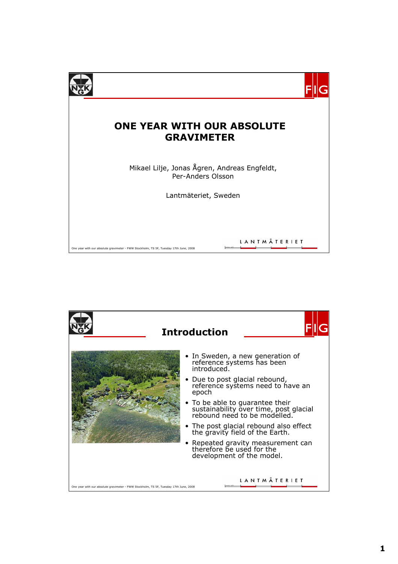

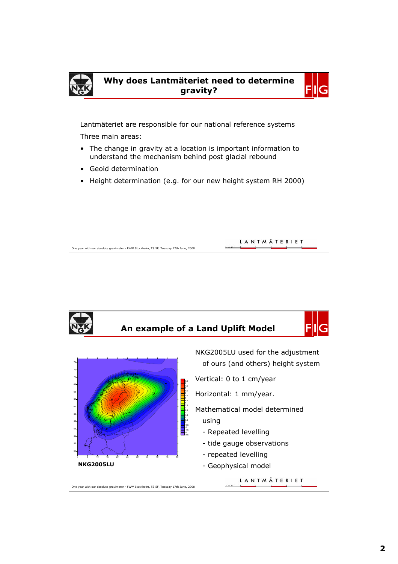

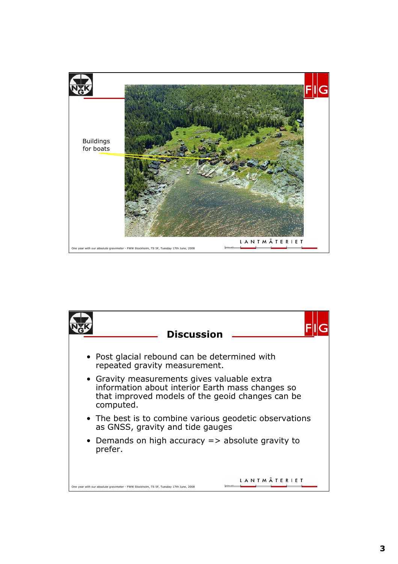

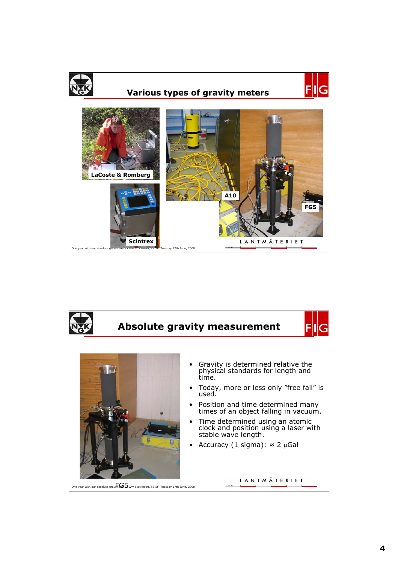

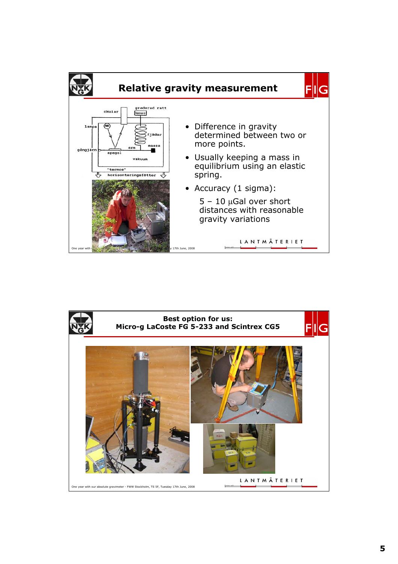

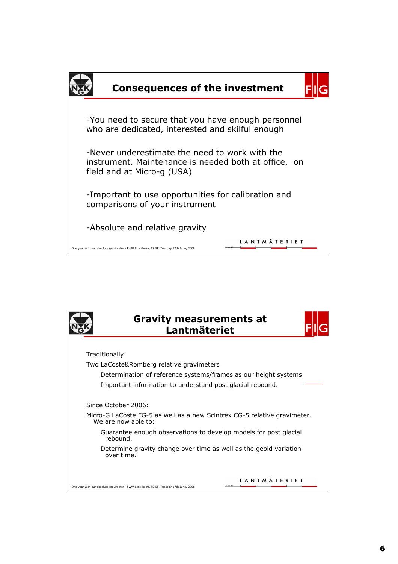

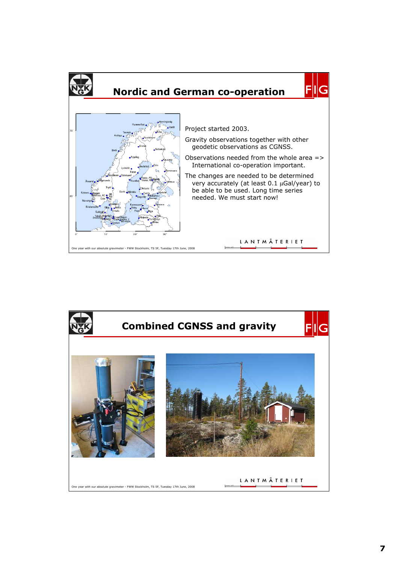

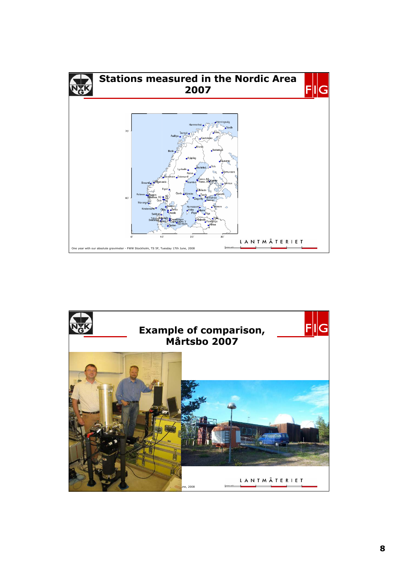

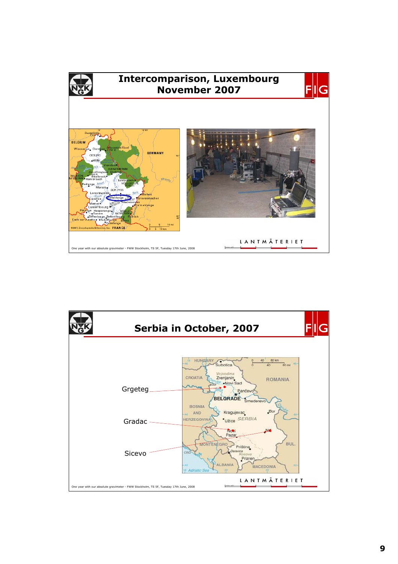